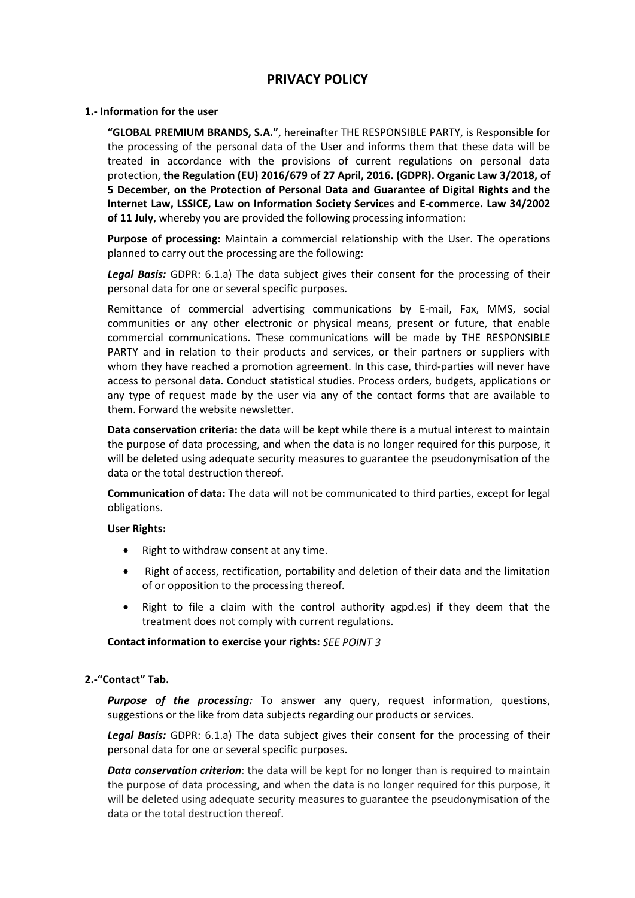## **1.- Information for the user**

**"GLOBAL PREMIUM BRANDS, S.A."**, hereinafter THE RESPONSIBLE PARTY, is Responsible for the processing of the personal data of the User and informs them that these data will be treated in accordance with the provisions of current regulations on personal data protection, **the Regulation (EU) 2016/679 of 27 April, 2016. (GDPR). Organic Law 3/2018, of 5 December, on the Protection of Personal Data and Guarantee of Digital Rights and the Internet Law, LSSICE, Law on Information Society Services and E-commerce. Law 34/2002 of 11 July**, whereby you are provided the following processing information:

**Purpose of processing:** Maintain a commercial relationship with the User. The operations planned to carry out the processing are the following:

*Legal Basis:* GDPR: 6.1.a) The data subject gives their consent for the processing of their personal data for one or several specific purposes.

Remittance of commercial advertising communications by E-mail, Fax, MMS, social communities or any other electronic or physical means, present or future, that enable commercial communications. These communications will be made by THE RESPONSIBLE PARTY and in relation to their products and services, or their partners or suppliers with whom they have reached a promotion agreement. In this case, third-parties will never have access to personal data. Conduct statistical studies. Process orders, budgets, applications or any type of request made by the user via any of the contact forms that are available to them. Forward the website newsletter.

**Data conservation criteria:** the data will be kept while there is a mutual interest to maintain the purpose of data processing, and when the data is no longer required for this purpose, it will be deleted using adequate security measures to guarantee the pseudonymisation of the data or the total destruction thereof.

**Communication of data:** The data will not be communicated to third parties, except for legal obligations.

## **User Rights:**

- Right to withdraw consent at any time.
- Right of access, rectification, portability and deletion of their data and the limitation of or opposition to the processing thereof.
- Right to file a claim with the control authority agpd.es) if they deem that the treatment does not comply with current regulations.

## **Contact information to exercise your rights:** *SEE POINT 3*

## **2.-"Contact" Tab.**

*Purpose of the processing:* To answer any query, request information, questions, suggestions or the like from data subjects regarding our products or services.

*Legal Basis:* GDPR: 6.1.a) The data subject gives their consent for the processing of their personal data for one or several specific purposes.

**Data conservation criterion**: the data will be kept for no longer than is required to maintain the purpose of data processing, and when the data is no longer required for this purpose, it will be deleted using adequate security measures to guarantee the pseudonymisation of the data or the total destruction thereof.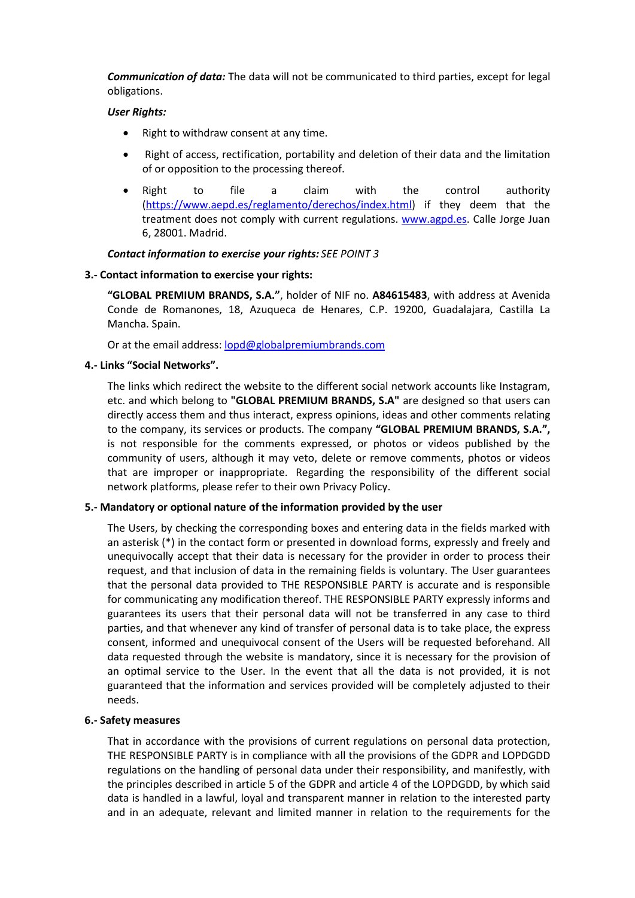*Communication of data:* The data will not be communicated to third parties, except for legal obligations.

## *User Rights:*

- Right to withdraw consent at any time.
- Right of access, rectification, portability and deletion of their data and the limitation of or opposition to the processing thereof.
- Right to file a claim with the control authority [\(https://www.aepd.es/reglamento/derechos/index.html\)](https://www.aepd.es/reglamento/derechos/index.html) if they deem that the treatment does not comply with current regulations. [www.agpd.es.](http://www.agpd.es/) Calle Jorge Juan 6, 28001. Madrid.

## *Contact information to exercise your rights: SEE POINT 3*

## **3.- Contact information to exercise your rights:**

**"GLOBAL PREMIUM BRANDS, S.A."**, holder of NIF no. **A84615483**, with address at Avenida Conde de Romanones, 18, Azuqueca de Henares, C.P. 19200, Guadalajara, Castilla La Mancha. Spain.

Or at the email address[: lopd@globalpremiumbrands.com](mailto:lopd@globalpremiumbrands.com)

## **4.- Links "Social Networks".**

The links which redirect the website to the different social network accounts like Instagram, etc. and which belong to **"GLOBAL PREMIUM BRANDS, S.A"** are designed so that users can directly access them and thus interact, express opinions, ideas and other comments relating to the company, its services or products. The company **"GLOBAL PREMIUM BRANDS, S.A.",** is not responsible for the comments expressed, or photos or videos published by the community of users, although it may veto, delete or remove comments, photos or videos that are improper or inappropriate. Regarding the responsibility of the different social network platforms, please refer to their own Privacy Policy.

## **5.- Mandatory or optional nature of the information provided by the user**

The Users, by checking the corresponding boxes and entering data in the fields marked with an asterisk (\*) in the contact form or presented in download forms, expressly and freely and unequivocally accept that their data is necessary for the provider in order to process their request, and that inclusion of data in the remaining fields is voluntary. The User guarantees that the personal data provided to THE RESPONSIBLE PARTY is accurate and is responsible for communicating any modification thereof. THE RESPONSIBLE PARTY expressly informs and guarantees its users that their personal data will not be transferred in any case to third parties, and that whenever any kind of transfer of personal data is to take place, the express consent, informed and unequivocal consent of the Users will be requested beforehand. All data requested through the website is mandatory, since it is necessary for the provision of an optimal service to the User. In the event that all the data is not provided, it is not guaranteed that the information and services provided will be completely adjusted to their needs.

## **6.- Safety measures**

That in accordance with the provisions of current regulations on personal data protection, THE RESPONSIBLE PARTY is in compliance with all the provisions of the GDPR and LOPDGDD regulations on the handling of personal data under their responsibility, and manifestly, with the principles described in article 5 of the GDPR and article 4 of the LOPDGDD, by which said data is handled in a lawful, loyal and transparent manner in relation to the interested party and in an adequate, relevant and limited manner in relation to the requirements for the